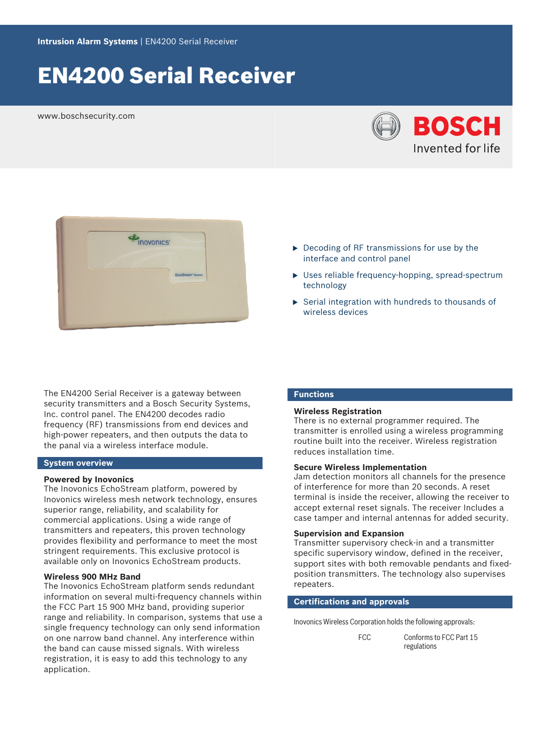# EN4200 Serial Receiver

www.boschsecurity.com





The EN4200 Serial Receiver is a gateway between security transmitters and a Bosch Security Systems, Inc. control panel. The EN4200 decodes radio frequency (RF) transmissions from end devices and high-power repeaters, and then outputs the data to the panal via a wireless interface module.

#### **System overview**

#### **Powered by Inovonics**

The Inovonics EchoStream platform, powered by Inovonics wireless mesh network technology, ensures superior range, reliability, and scalability for commercial applications. Using a wide range of transmitters and repeaters, this proven technology provides flexibility and performance to meet the most stringent requirements. This exclusive protocol is available only on Inovonics EchoStream products.

#### **Wireless 900 MHz Band**

The Inovonics EchoStream platform sends redundant information on several multi-frequency channels within the FCC Part 15 900 MHz band, providing superior range and reliability. In comparison, systems that use a single frequency technology can only send information on one narrow band channel. Any interference within the band can cause missed signals. With wireless registration, it is easy to add this technology to any application.

- $\triangleright$  Decoding of RF transmissions for use by the interface and control panel
- $\triangleright$  Uses reliable frequency-hopping, spread-spectrum technology
- $\triangleright$  Serial integration with hundreds to thousands of wireless devices

#### **Functions**

#### **Wireless Registration**

There is no external programmer required. The transmitter is enrolled using a wireless programming routine built into the receiver. Wireless registration reduces installation time.

#### **Secure Wireless Implementation**

Jam detection monitors all channels for the presence of interference for more than 20 seconds. A reset terminal is inside the receiver, allowing the receiver to accept external reset signals. The receiver Includes a case tamper and internal antennas for added security.

### **Supervision and Expansion**

Transmitter supervisory check-in and a transmitter specific supervisory window, defined in the receiver, support sites with both removable pendants and fixedposition transmitters. The technology also supervises repeaters.

#### **Certifications and approvals**

Inovonics Wireless Corporation holds the following approvals:

FCC Conforms to FCC Part 15 regulations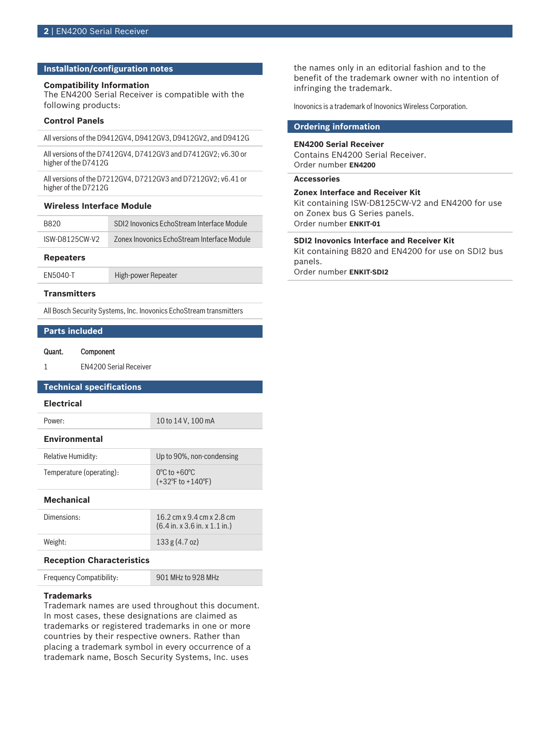#### **Installation/configuration notes**

#### **Compatibility Information**

The EN4200 Serial Receiver is compatible with the following products:

#### **Control Panels**

All versions of the D9412GV4, D9412GV3, D9412GV2, and D9412G

All versions of the D7412GV4, D7412GV3 and D7412GV2; v6.30 or higher of the D7412G

All versions of the D7212GV4, D7212GV3 and D7212GV2; v6.41 or higher of the D7212G

#### **Wireless Interface Module**

| B820           | SDI2 Inovonics EchoStream Interface Module  |
|----------------|---------------------------------------------|
| ISW-D8125CW-V2 | Zonex Inovonics EchoStream Interface Module |

#### **Repeaters**

EN5040-T High-power Repeater

#### **Transmitters**

All Bosch Security Systems, Inc. Inovonics EchoStream transmitters

#### **Parts included**

#### Quant. Component

1 EN4200 Serial Receiver

#### **Technical specifications**

#### **Electrical**

Power: 10 to 14 V, 100 mA

### **Environmental**

| Relative Humidity:       | Up to 90%, non-condensing                                                  |
|--------------------------|----------------------------------------------------------------------------|
| Temperature (operating): | $0^{\circ}$ C to +60 $^{\circ}$ C<br>$(+32^{\circ}$ F to $+140^{\circ}$ F) |

#### **Mechanical**

| Dimensions: | 16.2 cm x 9.4 cm x 2.8 cm<br>$(6.4 \text{ in. x } 3.6 \text{ in. x } 1.1 \text{ in.})$ |
|-------------|----------------------------------------------------------------------------------------|
| Weight:     | 133 g(4.7 oz)                                                                          |
|             |                                                                                        |

#### **Reception Characteristics**

Frequency Compatibility: 901 MHz to 928 MHz

#### **Trademarks**

Trademark names are used throughout this document. In most cases, these designations are claimed as trademarks or registered trademarks in one or more countries by their respective owners. Rather than placing a trademark symbol in every occurrence of a trademark name, Bosch Security Systems, Inc. uses

the names only in an editorial fashion and to the benefit of the trademark owner with no intention of infringing the trademark.

Inovonics is a trademark of Inovonics Wireless Corporation.

## **Ordering information**

### **EN4200 Serial Receiver**

Contains EN4200 Serial Receiver. Order number **EN4200**

#### **Accessories**

#### **Zonex Interface and Receiver Kit**

Kit containing ISW-D8125CW-V2 and EN4200 for use on Zonex bus G Series panels. Order number **ENKIT-01**

#### **SDI2 Inovonics Interface and Receiver Kit**

Kit containing B820 and EN4200 for use on SDI2 bus panels. Order number **ENKIT-SDI2**